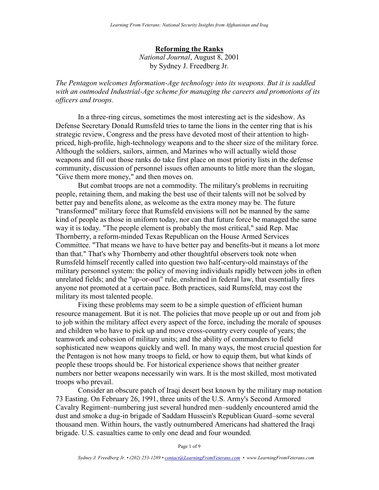## **Reforming the Ranks**

*National Journal*, August 8, 2001 by Sydney J. Freedberg Jr.

*The Pentagon welcomes Information-Age technology into its weapons. But it is saddled with an outmoded Industrial-Age scheme for managing the careers and promotions of its officers and troops.*

In a three-ring circus, sometimes the most interesting act is the sideshow. As Defense Secretary Donald Rumsfeld tries to tame the lions in the center ring that is his strategic review, Congress and the press have devoted most of their attention to highpriced, high-profile, high-technology weapons and to the sheer size of the military force. Although the soldiers, sailors, airmen, and Marines who will actually wield those weapons and fill out those ranks do take first place on most priority lists in the defense community, discussion of personnel issues often amounts to little more than the slogan, "Give them more money," and then moves on.

But combat troops are not a commodity. The military's problems in recruiting people, retaining them, and making the best use of their talents will not be solved by better pay and benefits alone, as welcome as the extra money may be. The future "transformed" military force that Rumsfeld envisions will not be manned by the same kind of people as those in uniform today, nor can that future force be managed the same way it is today. "The people element is probably the most critical," said Rep. Mac Thornberry, a reform-minded Texas Republican on the House Armed Services Committee. "That means we have to have better pay and benefits-but it means a lot more than that." That's why Thornberry and other thoughtful observers took note when Rumsfeld himself recently called into question two half-century-old mainstays of the military personnel system: the policy of moving individuals rapidly between jobs in often unrelated fields; and the "up-or-out" rule, enshrined in federal law, that essentially fires anyone not promoted at a certain pace. Both practices, said Rumsfeld, may cost the military its most talented people.

Fixing these problems may seem to be a simple question of efficient human resource management. But it is not. The policies that move people up or out and from job to job within the military affect every aspect of the force, including the morale of spouses and children who have to pick up and move cross-country every couple of years; the teamwork and cohesion of military units; and the ability of commanders to field sophisticated new weapons quickly and well. In many ways, the most crucial question for the Pentagon is not how many troops to field, or how to equip them, but what kinds of people these troops should be. For historical experience shows that neither greater numbers nor better weapons necessarily win wars. It is the most skilled, most motivated troops who prevail.

Consider an obscure patch of Iraqi desert best known by the military map notation 73 Easting. On February 26, 1991, three units of the U.S. Army's Second Armored Cavalry Regiment–numbering just several hundred men–suddenly encountered amid the dust and smoke a dug-in brigade of Saddam Hussein's Republican Guard–some several thousand men. Within hours, the vastly outnumbered Americans had shattered the Iraqi brigade. U.S. casualties came to only one dead and four wounded.

Page 1 of 9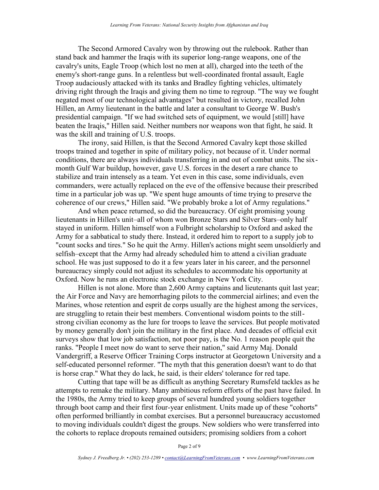The Second Armored Cavalry won by throwing out the rulebook. Rather than stand back and hammer the Iraqis with its superior long-range weapons, one of the cavalry's units, Eagle Troop (which lost no men at all), charged into the teeth of the enemy's short-range guns. In a relentless but well-coordinated frontal assault, Eagle Troop audaciously attacked with its tanks and Bradley fighting vehicles, ultimately driving right through the Iraqis and giving them no time to regroup. "The way we fought negated most of our technological advantages" but resulted in victory, recalled John Hillen, an Army lieutenant in the battle and later a consultant to George W. Bush's presidential campaign. "If we had switched sets of equipment, we would [still] have beaten the Iraqis," Hillen said. Neither numbers nor weapons won that fight, he said. It was the skill and training of U.S. troops.

The irony, said Hillen, is that the Second Armored Cavalry kept those skilled troops trained and together in spite of military policy, not because of it. Under normal conditions, there are always individuals transferring in and out of combat units. The sixmonth Gulf War buildup, however, gave U.S. forces in the desert a rare chance to stabilize and train intensely as a team. Yet even in this case, some individuals, even commanders, were actually replaced on the eve of the offensive because their prescribed time in a particular job was up. "We spent huge amounts of time trying to preserve the coherence of our crews," Hillen said. "We probably broke a lot of Army regulations."

And when peace returned, so did the bureaucracy. Of eight promising young lieutenants in Hillen's unit–all of whom won Bronze Stars and Silver Stars–only half stayed in uniform. Hillen himself won a Fulbright scholarship to Oxford and asked the Army for a sabbatical to study there. Instead, it ordered him to report to a supply job to "count socks and tires." So he quit the Army. Hillen's actions might seem unsoldierly and selfish–except that the Army had already scheduled him to attend a civilian graduate school. He was just supposed to do it a few years later in his career, and the personnel bureaucracy simply could not adjust its schedules to accommodate his opportunity at Oxford. Now he runs an electronic stock exchange in New York City.

Hillen is not alone. More than 2,600 Army captains and lieutenants quit last year; the Air Force and Navy are hemorrhaging pilots to the commercial airlines; and even the Marines, whose retention and esprit de corps usually are the highest among the services, are struggling to retain their best members. Conventional wisdom points to the stillstrong civilian economy as the lure for troops to leave the services. But people motivated by money generally don't join the military in the first place. And decades of official exit surveys show that low job satisfaction, not poor pay, is the No. 1 reason people quit the ranks. "People I meet now do want to serve their nation," said Army Maj. Donald Vandergriff, a Reserve Officer Training Corps instructor at Georgetown University and a self-educated personnel reformer. "The myth that this generation doesn't want to do that is horse crap." What they do lack, he said, is their elders' tolerance for red tape.

Cutting that tape will be as difficult as anything Secretary Rumsfeld tackles as he attempts to remake the military. Many ambitious reform efforts of the past have failed. In the 1980s, the Army tried to keep groups of several hundred young soldiers together through boot camp and their first four-year enlistment. Units made up of these "cohorts" often performed brilliantly in combat exercises. But a personnel bureaucracy accustomed to moving individuals couldn't digest the groups. New soldiers who were transferred into the cohorts to replace dropouts remained outsiders; promising soldiers from a cohort

Page 2 of 9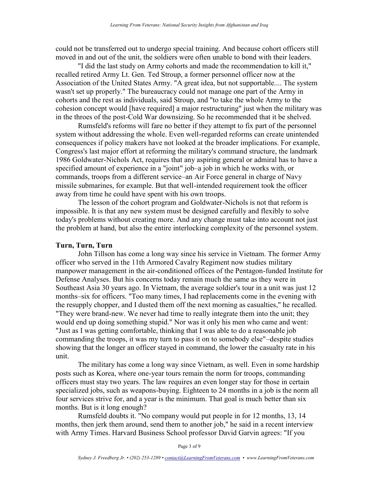could not be transferred out to undergo special training. And because cohort officers still moved in and out of the unit, the soldiers were often unable to bond with their leaders.

"I did the last study on Army cohorts and made the recommendation to kill it," recalled retired Army Lt. Gen. Ted Stroup, a former personnel officer now at the Association of the United States Army. "A great idea, but not supportable.... The system wasn't set up properly." The bureaucracy could not manage one part of the Army in cohorts and the rest as individuals, said Stroup, and "to take the whole Army to the cohesion concept would [have required] a major restructuring" just when the military was in the throes of the post-Cold War downsizing. So he recommended that it be shelved.

Rumsfeld's reforms will fare no better if they attempt to fix part of the personnel system without addressing the whole. Even well-regarded reforms can create unintended consequences if policy makers have not looked at the broader implications. For example, Congress's last major effort at reforming the military's command structure, the landmark 1986 Goldwater-Nichols Act, requires that any aspiring general or admiral has to have a specified amount of experience in a "joint" job–a job in which he works with, or commands, troops from a different service–an Air Force general in charge of Navy missile submarines, for example. But that well-intended requirement took the officer away from time he could have spent with his own troops.

The lesson of the cohort program and Goldwater-Nichols is not that reform is impossible. It is that any new system must be designed carefully and flexibly to solve today's problems without creating more. And any change must take into account not just the problem at hand, but also the entire interlocking complexity of the personnel system.

## **Turn, Turn, Turn**

John Tillson has come a long way since his service in Vietnam. The former Army officer who served in the 11th Armored Cavalry Regiment now studies military manpower management in the air-conditioned offices of the Pentagon-funded Institute for Defense Analyses. But his concerns today remain much the same as they were in Southeast Asia 30 years ago. In Vietnam, the average soldier's tour in a unit was just 12 months–six for officers. "Too many times, I had replacements come in the evening with the resupply chopper, and I dusted them off the next morning as casualties," he recalled. "They were brand-new. We never had time to really integrate them into the unit; they would end up doing something stupid." Nor was it only his men who came and went: "Just as I was getting comfortable, thinking that I was able to do a reasonable job commanding the troops, it was my turn to pass it on to somebody else"–despite studies showing that the longer an officer stayed in command, the lower the casualty rate in his unit.

The military has come a long way since Vietnam, as well. Even in some hardship posts such as Korea, where one-year tours remain the norm for troops, commanding officers must stay two years. The law requires an even longer stay for those in certain specialized jobs, such as weapons-buying. Eighteen to 24 months in a job is the norm all four services strive for, and a year is the minimum. That goal is much better than six months. But is it long enough?

Rumsfeld doubts it. "No company would put people in for 12 months, 13, 14 months, then jerk them around, send them to another job," he said in a recent interview with Army Times. Harvard Business School professor David Garvin agrees: "If you

Page 3 of 9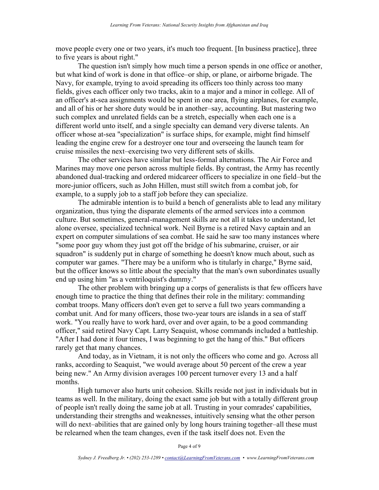move people every one or two years, it's much too frequent. [In business practice], three to five years is about right."

The question isn't simply how much time a person spends in one office or another, but what kind of work is done in that office–or ship, or plane, or airborne brigade. The Navy, for example, trying to avoid spreading its officers too thinly across too many fields, gives each officer only two tracks, akin to a major and a minor in college. All of an officer's at-sea assignments would be spent in one area, flying airplanes, for example, and all of his or her shore duty would be in another–say, accounting. But mastering two such complex and unrelated fields can be a stretch, especially when each one is a different world unto itself, and a single specialty can demand very diverse talents. An officer whose at-sea "specialization" is surface ships, for example, might find himself leading the engine crew for a destroyer one tour and overseeing the launch team for cruise missiles the next–exercising two very different sets of skills.

The other services have similar but less-formal alternations. The Air Force and Marines may move one person across multiple fields. By contrast, the Army has recently abandoned dual-tracking and ordered midcareer officers to specialize in one field–but the more-junior officers, such as John Hillen, must still switch from a combat job, for example, to a supply job to a staff job before they can specialize.

The admirable intention is to build a bench of generalists able to lead any military organization, thus tying the disparate elements of the armed services into a common culture. But sometimes, general-management skills are not all it takes to understand, let alone oversee, specialized technical work. Neil Byrne is a retired Navy captain and an expert on computer simulations of sea combat. He said he saw too many instances where "some poor guy whom they just got off the bridge of his submarine, cruiser, or air squadron" is suddenly put in charge of something he doesn't know much about, such as computer war games. "There may be a uniform who is titularly in charge," Byrne said, but the officer knows so little about the specialty that the man's own subordinates usually end up using him "as a ventriloquist's dummy."

The other problem with bringing up a corps of generalists is that few officers have enough time to practice the thing that defines their role in the military: commanding combat troops. Many officers don't even get to serve a full two years commanding a combat unit. And for many officers, those two-year tours are islands in a sea of staff work. "You really have to work hard, over and over again, to be a good commanding officer," said retired Navy Capt. Larry Seaquist, whose commands included a battleship. "After I had done it four times, I was beginning to get the hang of this." But officers rarely get that many chances.

And today, as in Vietnam, it is not only the officers who come and go. Across all ranks, according to Seaquist, "we would average about 50 percent of the crew a year being new." An Army division averages 100 percent turnover every 13 and a half months.

High turnover also hurts unit cohesion. Skills reside not just in individuals but in teams as well. In the military, doing the exact same job but with a totally different group of people isn't really doing the same job at all. Trusting in your comrades' capabilities, understanding their strengths and weaknesses, intuitively sensing what the other person will do next–abilities that are gained only by long hours training together–all these must be relearned when the team changes, even if the task itself does not. Even the

Page 4 of 9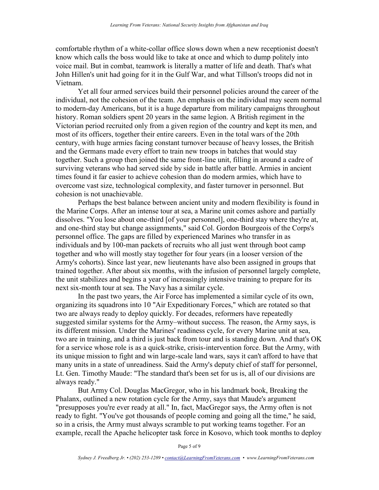comfortable rhythm of a white-collar office slows down when a new receptionist doesn't know which calls the boss would like to take at once and which to dump politely into voice mail. But in combat, teamwork is literally a matter of life and death. That's what John Hillen's unit had going for it in the Gulf War, and what Tillson's troops did not in Vietnam.

Yet all four armed services build their personnel policies around the career of the individual, not the cohesion of the team. An emphasis on the individual may seem normal to modern-day Americans, but it is a huge departure from military campaigns throughout history. Roman soldiers spent 20 years in the same legion. A British regiment in the Victorian period recruited only from a given region of the country and kept its men, and most of its officers, together their entire careers. Even in the total wars of the 20th century, with huge armies facing constant turnover because of heavy losses, the British and the Germans made every effort to train new troops in batches that would stay together. Such a group then joined the same front-line unit, filling in around a cadre of surviving veterans who had served side by side in battle after battle. Armies in ancient times found it far easier to achieve cohesion than do modern armies, which have to overcome vast size, technological complexity, and faster turnover in personnel. But cohesion is not unachievable.

Perhaps the best balance between ancient unity and modern flexibility is found in the Marine Corps. After an intense tour at sea, a Marine unit comes ashore and partially dissolves. "You lose about one-third [of your personnel], one-third stay where they're at, and one-third stay but change assignments," said Col. Gordon Bourgeois of the Corps's personnel office. The gaps are filled by experienced Marines who transfer in as individuals and by 100-man packets of recruits who all just went through boot camp together and who will mostly stay together for four years (in a looser version of the Army's cohorts). Since last year, new lieutenants have also been assigned in groups that trained together. After about six months, with the infusion of personnel largely complete, the unit stabilizes and begins a year of increasingly intensive training to prepare for its next six-month tour at sea. The Navy has a similar cycle.

In the past two years, the Air Force has implemented a similar cycle of its own, organizing its squadrons into 10 "Air Expeditionary Forces," which are rotated so that two are always ready to deploy quickly. For decades, reformers have repeatedly suggested similar systems for the Army–without success. The reason, the Army says, is its different mission. Under the Marines' readiness cycle, for every Marine unit at sea, two are in training, and a third is just back from tour and is standing down. And that's OK for a service whose role is as a quick-strike, crisis-intervention force. But the Army, with its unique mission to fight and win large-scale land wars, says it can't afford to have that many units in a state of unreadiness. Said the Army's deputy chief of staff for personnel, Lt. Gen. Timothy Maude: "The standard that's been set for us is, all of our divisions are always ready."

But Army Col. Douglas MacGregor, who in his landmark book, Breaking the Phalanx, outlined a new rotation cycle for the Army, says that Maude's argument "presupposes you're ever ready at all." In, fact, MacGregor says, the Army often is not ready to fight. "You've got thousands of people coming and going all the time," he said, so in a crisis, the Army must always scramble to put working teams together. For an example, recall the Apache helicopter task force in Kosovo, which took months to deploy

Page 5 of 9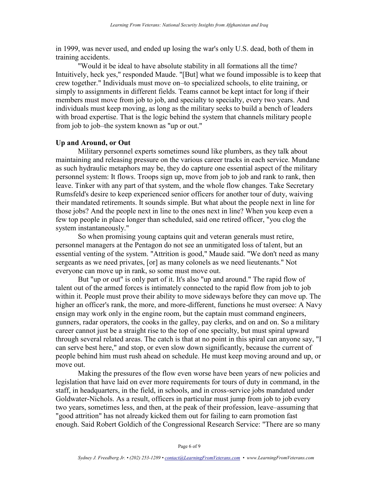in 1999, was never used, and ended up losing the war's only U.S. dead, both of them in training accidents.

"Would it be ideal to have absolute stability in all formations all the time? Intuitively, heck yes," responded Maude. "[But] what we found impossible is to keep that crew together." Individuals must move on–to specialized schools, to elite training, or simply to assignments in different fields. Teams cannot be kept intact for long if their members must move from job to job, and specialty to specialty, every two years. And individuals must keep moving, as long as the military seeks to build a bench of leaders with broad expertise. That is the logic behind the system that channels military people from job to job–the system known as "up or out."

## **Up and Around, or Out**

Military personnel experts sometimes sound like plumbers, as they talk about maintaining and releasing pressure on the various career tracks in each service. Mundane as such hydraulic metaphors may be, they do capture one essential aspect of the military personnel system: It flows. Troops sign up, move from job to job and rank to rank, then leave. Tinker with any part of that system, and the whole flow changes. Take Secretary Rumsfeld's desire to keep experienced senior officers for another tour of duty, waiving their mandated retirements. It sounds simple. But what about the people next in line for those jobs? And the people next in line to the ones next in line? When you keep even a few top people in place longer than scheduled, said one retired officer, "you clog the system instantaneously."

So when promising young captains quit and veteran generals must retire, personnel managers at the Pentagon do not see an unmitigated loss of talent, but an essential venting of the system. "Attrition is good," Maude said. "We don't need as many sergeants as we need privates, [or] as many colonels as we need lieutenants." Not everyone can move up in rank, so some must move out.

But "up or out" is only part of it. It's also "up and around." The rapid flow of talent out of the armed forces is intimately connected to the rapid flow from job to job within it. People must prove their ability to move sideways before they can move up. The higher an officer's rank, the more, and more-different, functions he must oversee: A Navy ensign may work only in the engine room, but the captain must command engineers, gunners, radar operators, the cooks in the galley, pay clerks, and on and on. So a military career cannot just be a straight rise to the top of one specialty, but must spiral upward through several related areas. The catch is that at no point in this spiral can anyone say, "I can serve best here," and stop, or even slow down significantly, because the current of people behind him must rush ahead on schedule. He must keep moving around and up, or move out.

Making the pressures of the flow even worse have been years of new policies and legislation that have laid on ever more requirements for tours of duty in command, in the staff, in headquarters, in the field, in schools, and in cross-service jobs mandated under Goldwater-Nichols. As a result, officers in particular must jump from job to job every two years, sometimes less, and then, at the peak of their profession, leave–assuming that "good attrition" has not already kicked them out for failing to earn promotion fast enough. Said Robert Goldich of the Congressional Research Service: "There are so many

Page 6 of 9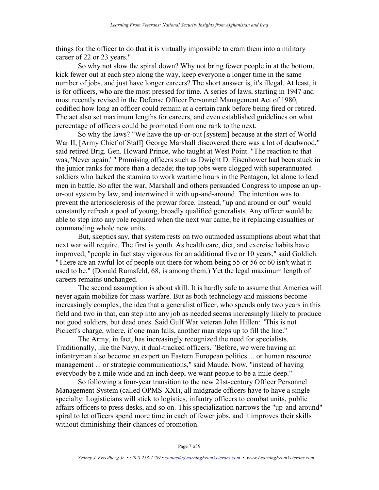things for the officer to do that it is virtually impossible to cram them into a military career of 22 or 23 years."

So why not slow the spiral down? Why not bring fewer people in at the bottom, kick fewer out at each step along the way, keep everyone a longer time in the same number of jobs, and just have longer careers? The short answer is, it's illegal. At least, it is for officers, who are the most pressed for time. A series of laws, starting in 1947 and most recently revised in the Defense Officer Personnel Management Act of 1980, codified how long an officer could remain at a certain rank before being fired or retired. The act also set maximum lengths for careers, and even established guidelines on what percentage of officers could be promoted from one rank to the next.

So why the laws? "We have the up-or-out [system] because at the start of World War II, [Army Chief of Staff] George Marshall discovered there was a lot of deadwood," said retired Brig. Gen. Howard Prince, who taught at West Point. "The reaction to that was, 'Never again.' " Promising officers such as Dwight D. Eisenhower had been stuck in the junior ranks for more than a decade; the top jobs were clogged with superannuated soldiers who lacked the stamina to work wartime hours in the Pentagon, let alone to lead men in battle. So after the war, Marshall and others persuaded Congress to impose an upor-out system by law, and intertwined it with up-and-around. The intention was to prevent the arteriosclerosis of the prewar force. Instead, "up and around or out" would constantly refresh a pool of young, broadly qualified generalists. Any officer would be able to step into any role required when the next war came, be it replacing casualties or commanding whole new units.

But, skeptics say, that system rests on two outmoded assumptions about what that next war will require. The first is youth. As health care, diet, and exercise habits have improved, "people in fact stay vigorous for an additional five or 10 years," said Goldich. "There are an awful lot of people out there for whom being 55 or 56 or 60 isn't what it used to be." (Donald Rumsfeld, 68, is among them.) Yet the legal maximum length of careers remains unchanged.

The second assumption is about skill. It is hardly safe to assume that America will never again mobilize for mass warfare. But as both technology and missions become increasingly complex, the idea that a generalist officer, who spends only two years in this field and two in that, can step into any job as needed seems increasingly likely to produce not good soldiers, but dead ones. Said Gulf War veteran John Hillen: "This is not Pickett's charge, where, if one man falls, another man steps up to fill the line."

The Army, in fact, has increasingly recognized the need for specialists. Traditionally, like the Navy, it dual-tracked officers. "Before, we were having an infantryman also become an expert on Eastern European politics ... or human resource management ... or strategic communications," said Maude. Now, "instead of having everybody be a mile wide and an inch deep, we want people to be a mile deep."

So following a four-year transition to the new 21st-century Officer Personnel Management System (called OPMS-XXI), all midgrade officers have to have a single specialty: Logisticians will stick to logistics, infantry officers to combat units, public affairs officers to press desks, and so on. This specialization narrows the "up-and-around" spiral to let officers spend more time in each of fewer jobs, and it improves their skills without diminishing their chances of promotion.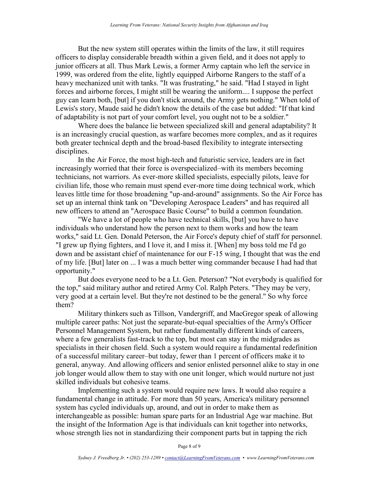But the new system still operates within the limits of the law, it still requires officers to display considerable breadth within a given field, and it does not apply to junior officers at all. Thus Mark Lewis, a former Army captain who left the service in 1999, was ordered from the elite, lightly equipped Airborne Rangers to the staff of a heavy mechanized unit with tanks. "It was frustrating," he said. "Had I stayed in light forces and airborne forces, I might still be wearing the uniform.... I suppose the perfect guy can learn both, [but] if you don't stick around, the Army gets nothing." When told of Lewis's story, Maude said he didn't know the details of the case but added: "If that kind of adaptability is not part of your comfort level, you ought not to be a soldier."

Where does the balance lie between specialized skill and general adaptability? It is an increasingly crucial question, as warfare becomes more complex, and as it requires both greater technical depth and the broad-based flexibility to integrate intersecting disciplines.

In the Air Force, the most high-tech and futuristic service, leaders are in fact increasingly worried that their force is overspecialized–with its members becoming technicians, not warriors. As ever-more skilled specialists, especially pilots, leave for civilian life, those who remain must spend ever-more time doing technical work, which leaves little time for those broadening "up-and-around" assignments. So the Air Force has set up an internal think tank on "Developing Aerospace Leaders" and has required all new officers to attend an "Aerospace Basic Course" to build a common foundation.

"We have a lot of people who have technical skills, [but] you have to have individuals who understand how the person next to them works and how the team works," said Lt. Gen. Donald Peterson, the Air Force's deputy chief of staff for personnel. "I grew up flying fighters, and I love it, and I miss it. [When] my boss told me I'd go down and be assistant chief of maintenance for our F-15 wing, I thought that was the end of my life. [But] later on ... I was a much better wing commander because I had had that opportunity."

But does everyone need to be a Lt. Gen. Peterson? "Not everybody is qualified for the top," said military author and retired Army Col. Ralph Peters. "They may be very, very good at a certain level. But they're not destined to be the general." So why force them?

Military thinkers such as Tillson, Vandergriff, and MacGregor speak of allowing multiple career paths: Not just the separate-but-equal specialties of the Army's Officer Personnel Management System, but rather fundamentally different kinds of careers, where a few generalists fast-track to the top, but most can stay in the midgrades as specialists in their chosen field. Such a system would require a fundamental redefinition of a successful military career–but today, fewer than 1 percent of officers make it to general, anyway. And allowing officers and senior enlisted personnel alike to stay in one job longer would allow them to stay with one unit longer, which would nurture not just skilled individuals but cohesive teams.

Implementing such a system would require new laws. It would also require a fundamental change in attitude. For more than 50 years, America's military personnel system has cycled individuals up, around, and out in order to make them as interchangeable as possible: human spare parts for an Industrial Age war machine. But the insight of the Information Age is that individuals can knit together into networks, whose strength lies not in standardizing their component parts but in tapping the rich

Page 8 of 9